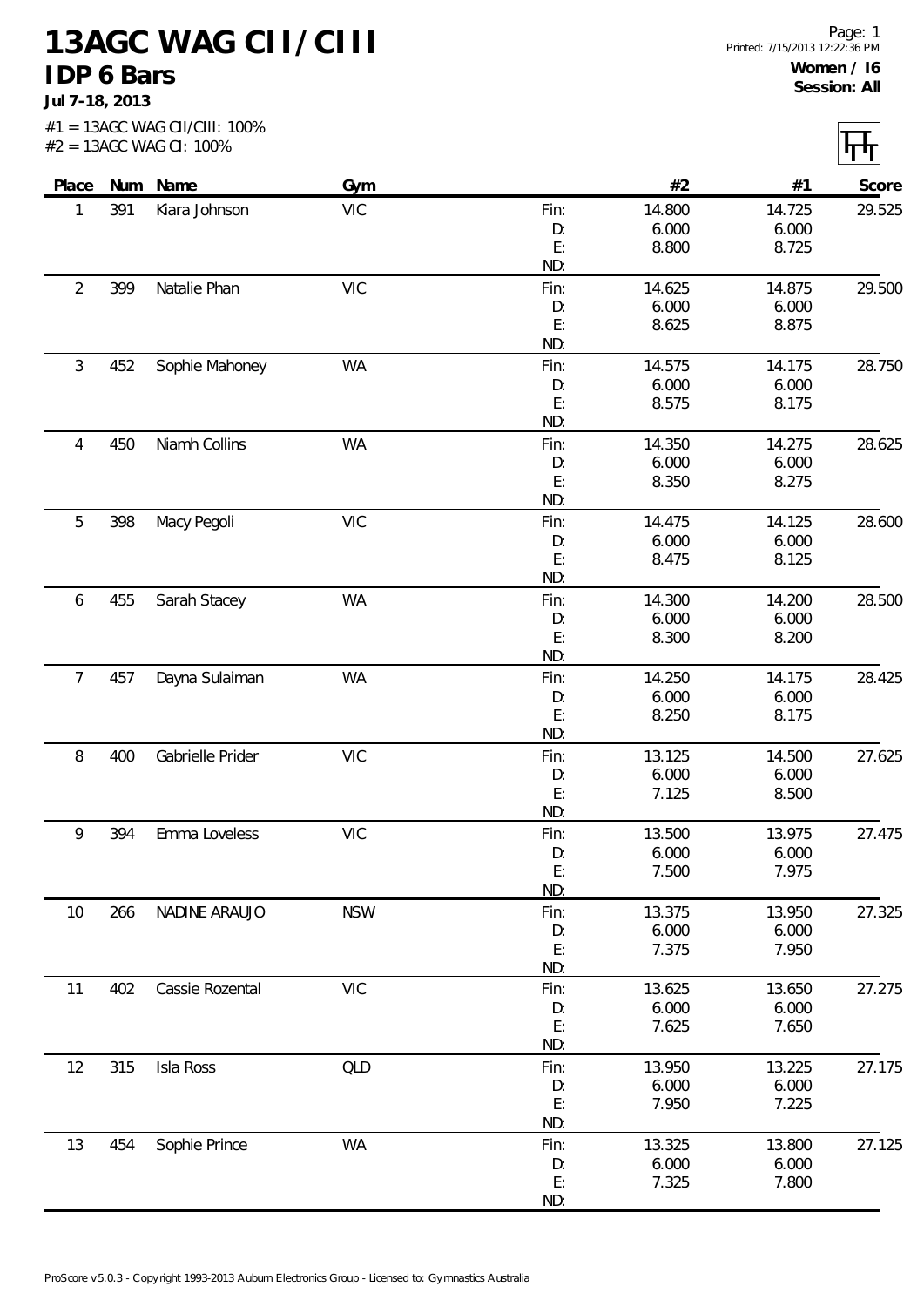**13AGC WAG CII/CIII IDP 6 Bars**

**Jul 7-18, 2013**

|                |     | #2 = 13AGC WAG CI: 100% |            |           |                |                |        |
|----------------|-----|-------------------------|------------|-----------|----------------|----------------|--------|
| Place          |     | Num Name                | Gym        |           | #2             | #1             | Score  |
| 1              | 391 | Kiara Johnson           | <b>VIC</b> | Fin:      | 14.800         | 14.725         | 29.525 |
|                |     |                         |            | D:        | 6.000          | 6.000          |        |
|                |     |                         |            | E:<br>ND: | 8.800          | 8.725          |        |
| $\overline{2}$ | 399 | Natalie Phan            | <b>VIC</b> | Fin:      | 14.625         | 14.875         | 29.500 |
|                |     |                         |            | D:        | 6.000          | 6.000          |        |
|                |     |                         |            | E:        | 8.625          | 8.875          |        |
|                |     |                         |            | ND:       |                |                |        |
| $\mathfrak{Z}$ | 452 | Sophie Mahoney          | <b>WA</b>  | Fin:      | 14.575         | 14.175         | 28.750 |
|                |     |                         |            | D:        | 6.000          | 6.000          |        |
|                |     |                         |            | E:        | 8.575          | 8.175          |        |
|                |     |                         |            | ND:       |                |                |        |
| 4              | 450 | Niamh Collins           | <b>WA</b>  | Fin:      | 14.350         | 14.275         | 28.625 |
|                |     |                         |            | D:        | 6.000          | 6.000          |        |
|                |     |                         |            | E:<br>ND: | 8.350          | 8.275          |        |
| 5              | 398 | Macy Pegoli             | <b>VIC</b> | Fin:      | 14.475         | 14.125         | 28.600 |
|                |     |                         |            | D:        | 6.000          | 6.000          |        |
|                |     |                         |            | E:        | 8.475          | 8.125          |        |
|                |     |                         |            | ND:       |                |                |        |
| 6              | 455 | Sarah Stacey            | WA         | Fin:      | 14.300         | 14.200         | 28.500 |
|                |     |                         |            | D:        | 6.000          | 6.000          |        |
|                |     |                         |            | E:        | 8.300          | 8.200          |        |
|                |     |                         |            | ND:       |                |                |        |
| $\overline{7}$ | 457 | Dayna Sulaiman          | <b>WA</b>  | Fin:      | 14.250         | 14.175         | 28.425 |
|                |     |                         |            | D:        | 6.000          | 6.000          |        |
|                |     |                         |            | E:        | 8.250          | 8.175          |        |
|                |     |                         |            | ND:       |                |                |        |
| 8              | 400 | Gabrielle Prider        | <b>VIC</b> | Fin:      | 13.125         | 14.500         | 27.625 |
|                |     |                         |            | D:<br>E:  | 6.000<br>7.125 | 6.000<br>8.500 |        |
|                |     |                         |            | ND:       |                |                |        |
| 9              | 394 | Emma Loveless           | <b>VIC</b> | Fin:      | 13.500         | 13.975         | 27.475 |
|                |     |                         |            | D:        | 6.000          | 6.000          |        |
|                |     |                         |            | E:        | 7.500          | 7.975          |        |
|                |     |                         |            | ND:       |                |                |        |
| 10             | 266 | NADINE ARAUJO           | <b>NSW</b> | Fin:      | 13.375         | 13.950         | 27.325 |
|                |     |                         |            | D:        | 6.000          | 6.000          |        |
|                |     |                         |            | E:        | 7.375          | 7.950          |        |
|                |     |                         |            | ND:       |                |                |        |
| 11             | 402 | Cassie Rozental         | <b>VIC</b> | Fin:      | 13.625         | 13.650         | 27.275 |
|                |     |                         |            | D:        | 6.000          | 6.000          |        |
|                |     |                         |            | E:<br>ND: | 7.625          | 7.650          |        |
| 12             | 315 | Isla Ross               | QLD        | Fin:      | 13.950         | 13.225         | 27.175 |
|                |     |                         |            | D:        | 6.000          | 6.000          |        |
|                |     |                         |            | E:        | 7.950          | 7.225          |        |
|                |     |                         |            | ND:       |                |                |        |
| 13             | 454 | Sophie Prince           | WA         | Fin:      | 13.325         | 13.800         | 27.125 |
|                |     |                         |            | D:        | 6.000          | 6.000          |        |
|                |     |                         |            | E:        | 7.325          | 7.800          |        |
|                |     |                         |            | ND:       |                |                |        |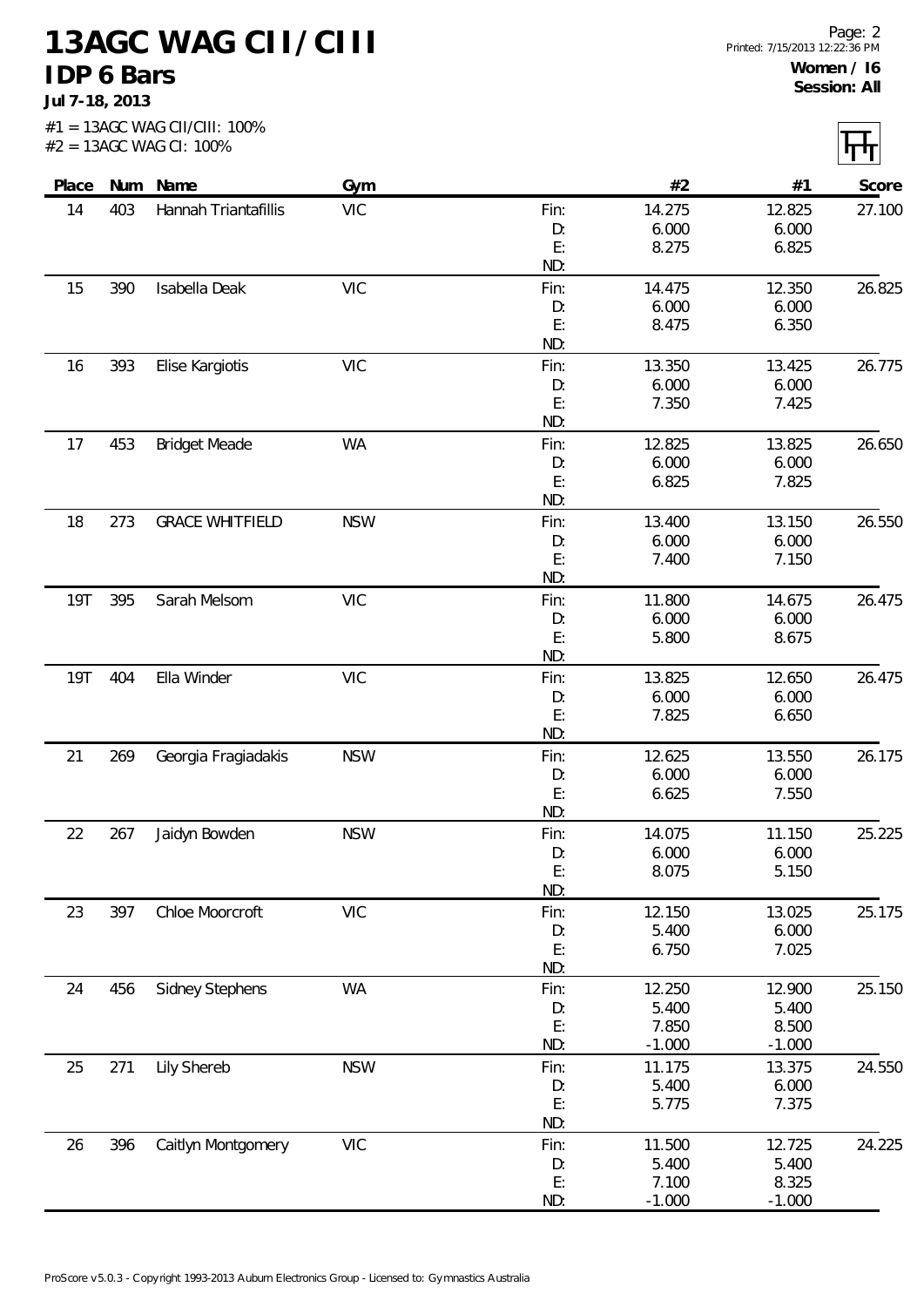**13AGC WAG CII/CIII IDP 6 Bars**

**Jul 7-18, 2013**

|            |     | $#1 = 13AGC WAG CII/CIII: 100%$<br>#2 = 13AGC WAG CI: 100% |            |             |                |                |        |
|------------|-----|------------------------------------------------------------|------------|-------------|----------------|----------------|--------|
| Place      | Num | Name                                                       | Gym        |             | #2             | #1             | Score  |
| 14         | 403 | Hannah Triantafillis                                       | <b>VIC</b> | Fin:        | 14.275         | 12.825         | 27.100 |
|            |     |                                                            |            | D:          | 6.000          | 6.000          |        |
|            |     |                                                            |            | E:          | 8.275          | 6.825          |        |
|            |     |                                                            |            | ND:         |                |                |        |
| 15         | 390 | Isabella Deak                                              | <b>VIC</b> | Fin:        | 14.475         | 12.350         | 26.825 |
|            |     |                                                            |            | D:          | 6.000          | 6.000          |        |
|            |     |                                                            |            | E:          | 8.475          | 6.350          |        |
| 16         | 393 | Elise Kargiotis                                            | <b>VIC</b> | ND:<br>Fin: | 13.350         | 13.425         | 26.775 |
|            |     |                                                            |            | D:          | 6.000          | 6.000          |        |
|            |     |                                                            |            | E:          | 7.350          | 7.425          |        |
|            |     |                                                            |            | ND:         |                |                |        |
| 17         | 453 | <b>Bridget Meade</b>                                       | WA         | Fin:        | 12.825         | 13.825         | 26.650 |
|            |     |                                                            |            | D:          | 6.000          | 6.000          |        |
|            |     |                                                            |            | E:          | 6.825          | 7.825          |        |
|            |     |                                                            |            | ND:         |                |                |        |
| 18         | 273 | <b>GRACE WHITFIELD</b>                                     | <b>NSW</b> | Fin:        | 13.400         | 13.150         | 26.550 |
|            |     |                                                            |            | D:          | 6.000          | 6.000          |        |
|            |     |                                                            |            | E:          | 7.400          | 7.150          |        |
|            |     |                                                            |            | ND:         |                |                |        |
| <b>19T</b> | 395 | Sarah Melsom                                               | <b>VIC</b> | Fin:        | 11.800         | 14.675         | 26.475 |
|            |     |                                                            |            | D:          | 6.000          | 6.000          |        |
|            |     |                                                            |            | E:<br>ND:   | 5.800          | 8.675          |        |
| <b>19T</b> | 404 | Ella Winder                                                | <b>VIC</b> | Fin:        | 13.825         | 12.650         | 26.475 |
|            |     |                                                            |            | D:          | 6.000          | 6.000          |        |
|            |     |                                                            |            | E:          | 7.825          | 6.650          |        |
|            |     |                                                            |            | ND:         |                |                |        |
| 21         | 269 | Georgia Fragiadakis                                        | <b>NSW</b> | Fin:        | 12.625         | 13.550         | 26.175 |
|            |     |                                                            |            | D:          | 6.000          | 6.000          |        |
|            |     |                                                            |            | E:          | 6.625          | 7.550          |        |
|            |     |                                                            |            | ND:         |                |                |        |
| 22         | 267 | Jaidyn Bowden                                              | <b>NSW</b> | Fin:        | 14.075         | 11.150         | 25.225 |
|            |     |                                                            |            | D:          | 6.000          | 6.000          |        |
|            |     |                                                            |            | E:<br>ND:   | 8.075          | 5.150          |        |
| 23         | 397 | Chloe Moorcroft                                            | <b>VIC</b> | Fin:        | 12.150         | 13.025         | 25.175 |
|            |     |                                                            |            | D:          | 5.400          | 6.000          |        |
|            |     |                                                            |            | E:          | 6.750          | 7.025          |        |
|            |     |                                                            |            | ND:         |                |                |        |
| 24         | 456 | <b>Sidney Stephens</b>                                     | WA         | Fin:        | 12.250         | 12.900         | 25.150 |
|            |     |                                                            |            | D:          | 5.400          | 5.400          |        |
|            |     |                                                            |            | E:          | 7.850          | 8.500          |        |
|            |     |                                                            |            | ND:         | $-1.000$       | $-1.000$       |        |
| 25         | 271 | Lily Shereb                                                | <b>NSW</b> | Fin:        | 11.175         | 13.375         | 24.550 |
|            |     |                                                            |            | D:          | 5.400          | 6.000          |        |
|            |     |                                                            |            | E:          | 5.775          | 7.375          |        |
|            |     |                                                            |            | ND:         |                |                |        |
| 26         | 396 | Caitlyn Montgomery                                         | <b>VIC</b> | Fin:        | 11.500         | 12.725         | 24.225 |
|            |     |                                                            |            | D:<br>E:    | 5.400<br>7.100 | 5.400<br>8.325 |        |
|            |     |                                                            |            | ND:         | $-1.000$       | $-1.000$       |        |
|            |     |                                                            |            |             |                |                |        |